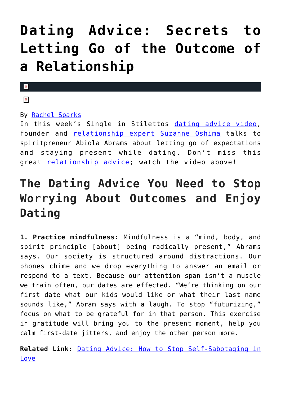# **[Dating Advice: Secrets to](https://cupidspulse.com/125595/dating-advice-letting-go-outcome-relationship/) [Letting Go of the Outcome of](https://cupidspulse.com/125595/dating-advice-letting-go-outcome-relationship/) [a Relationship](https://cupidspulse.com/125595/dating-advice-letting-go-outcome-relationship/)**

#### $\mathbf{x}$

#### $\pmb{\times}$

#### By [Rachel Sparks](http://cupidspulse.com/121112/rachel-sparks/)

In this week's Single in Stilettos [dating advice video,](http://cupidspulse.com/videos/dating-advice-videos/) founder and **[relationship expert](http://cupidspulse.com/relationship-experts/) [Suzanne Oshima](http://cupidspulse.com/relationship-experts/suzanne-oshima-robert-manni/)** talks to spiritpreneur Abiola Abrams about letting go of expectations and staying present while dating. Don't miss this great [relationship advice;](http://cupidspulse.com/relationship-experts/) watch the video above!

## **The Dating Advice You Need to Stop Worrying About Outcomes and Enjoy Dating**

**1. Practice mindfulness:** Mindfulness is a "mind, body, and spirit principle [about] being radically present," Abrams says. Our society is structured around distractions. Our phones chime and we drop everything to answer an email or respond to a text. Because our attention span isn't a muscle we train often, our dates are effected. "We're thinking on our first date what our kids would like or what their last name sounds like," Abram says with a laugh. To stop "futurizing," focus on what to be grateful for in that person. This exercise in gratitude will bring you to the present moment, help you calm first-date jitters, and enjoy the other person more.

**Related Link:** [Dating Advice: How to Stop Self-Sabotaging in](http://cupidspulse.com/125007/dating-advice-stop-self-sabotaging-love/) [Love](http://cupidspulse.com/125007/dating-advice-stop-self-sabotaging-love/)